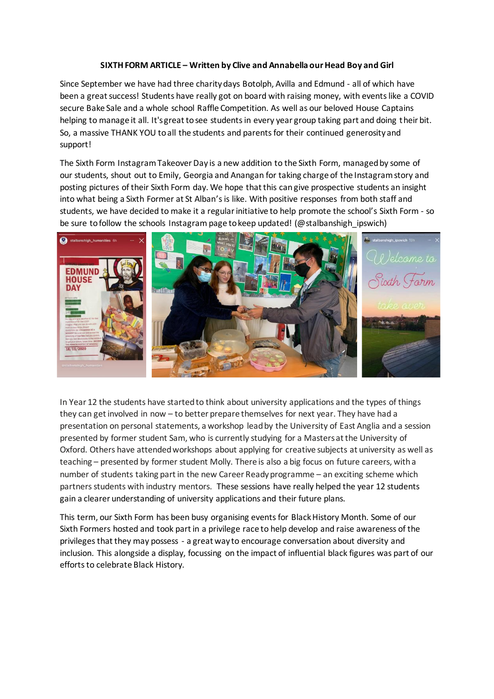## **SIXTH FORM ARTICLE – Written by Clive and Annabella our Head Boy and Girl**

Since September we have had three charity days Botolph, Avilla and Edmund - all of which have been a great success! Students have really got on board with raising money, with events like a COVID secure Bake Sale and a whole school Raffle Competition. As well as our beloved House Captains helping to manage it all. It's great to see students in every year group taking part and doing their bit. So, a massive THANK YOU to all the students and parents for their continued generosity and support!

The Sixth Form Instagram Takeover Day is a new addition to the Sixth Form, managed by some of our students, shout out to Emily, Georgia and Anangan for taking charge of the Instagram story and posting pictures of their Sixth Form day. We hope that this can give prospective students an insight into what being a Sixth Former at St Alban's is like. With positive responses from both staff and students, we have decided to make it a regular initiative to help promote the school's Sixth Form - so be sure to follow the schools Instagram page to keep updated! (@stalbanshigh\_ipswich)



In Year 12 the students have started to think about university applications and the types of things they can get involved in now – to better prepare themselves for next year. They have had a presentation on personal statements, a workshop lead by the University of East Anglia and a session presented by former student Sam, who is currently studying for a Masters at the University of Oxford. Others have attended workshops about applying for creative subjects at university as well as teaching – presented by former student Molly. There is also a big focus on future careers, with a number of students taking part in the new Career Ready programme – an exciting scheme which partners students with industry mentors. These sessions have really helped the year 12 students gain a clearer understanding of university applications and their future plans.

This term, our Sixth Form has been busy organising events for Black History Month. Some of our Sixth Formers hosted and took part in a privilege race to help develop and raise awareness of the privilegesthat they may possess - a great way to encourage conversation about diversity and inclusion. This alongside a display, focussing on the impact of influential black figures was part of our efforts to celebrate Black History.